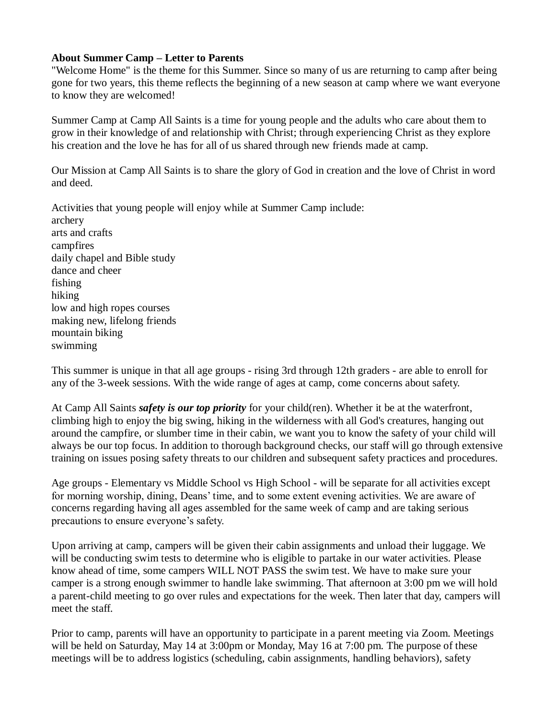## **About Summer Camp – Letter to Parents**

"Welcome Home" is the theme for this Summer. Since so many of us are returning to camp after being gone for two years, this theme reflects the beginning of a new season at camp where we want everyone to know they are welcomed!

Summer Camp at Camp All Saints is a time for young people and the adults who care about them to grow in their knowledge of and relationship with Christ; through experiencing Christ as they explore his creation and the love he has for all of us shared through new friends made at camp.

Our Mission at Camp All Saints is to share the glory of God in creation and the love of Christ in word and deed.

Activities that young people will enjoy while at Summer Camp include: archery arts and crafts campfires daily chapel and Bible study dance and cheer fishing hiking low and high ropes courses making new, lifelong friends mountain biking swimming

This summer is unique in that all age groups - rising 3rd through 12th graders - are able to enroll for any of the 3-week sessions. With the wide range of ages at camp, come concerns about safety.

At Camp All Saints *safety is our top priority* for your child(ren). Whether it be at the waterfront, climbing high to enjoy the big swing, hiking in the wilderness with all God's creatures, hanging out around the campfire, or slumber time in their cabin, we want you to know the safety of your child will always be our top focus. In addition to thorough background checks, our staff will go through extensive training on issues posing safety threats to our children and subsequent safety practices and procedures.

Age groups - Elementary vs Middle School vs High School - will be separate for all activities except for morning worship, dining, Deans' time, and to some extent evening activities. We are aware of concerns regarding having all ages assembled for the same week of camp and are taking serious precautions to ensure everyone's safety.

Upon arriving at camp, campers will be given their cabin assignments and unload their luggage. We will be conducting swim tests to determine who is eligible to partake in our water activities. Please know ahead of time, some campers WILL NOT PASS the swim test. We have to make sure your camper is a strong enough swimmer to handle lake swimming. That afternoon at 3:00 pm we will hold a parent-child meeting to go over rules and expectations for the week. Then later that day, campers will meet the staff.

Prior to camp, parents will have an opportunity to participate in a parent meeting via Zoom. Meetings will be held on Saturday, May 14 at 3:00pm or Monday, May 16 at 7:00 pm. The purpose of these meetings will be to address logistics (scheduling, cabin assignments, handling behaviors), safety